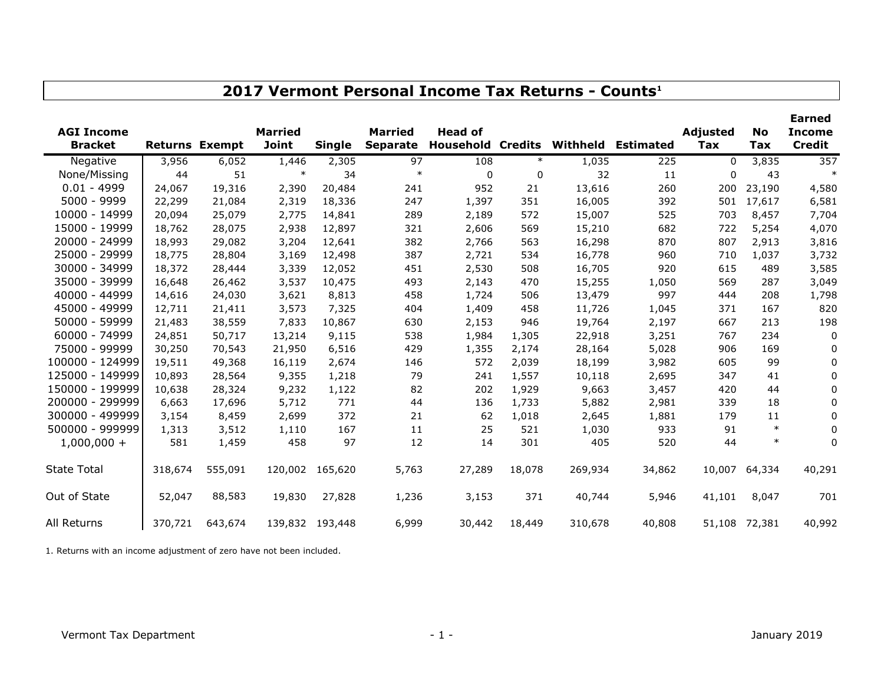| <b>AGI Income</b>  |                       |         | <b>Married</b> |                 | <b>Married</b>  | <b>Head of</b> |                |          |                  | Adjusted | <b>No</b>     | <b>Earned</b><br><b>Income</b> |
|--------------------|-----------------------|---------|----------------|-----------------|-----------------|----------------|----------------|----------|------------------|----------|---------------|--------------------------------|
| <b>Bracket</b>     | <b>Returns Exempt</b> |         | <b>Joint</b>   | <b>Single</b>   | <b>Separate</b> | Household      | <b>Credits</b> | Withheld | <b>Estimated</b> | Tax      | Tax           | <b>Credit</b>                  |
| Negative           | 3,956                 | 6,052   | 1,446          | 2,305           | 97              | 108            | $\ast$         | 1,035    | 225              | $\Omega$ | 3,835         | 357                            |
| None/Missing       | 44                    | 51      | $\ast$         | 34              | $\ast$          | $\Omega$       | 0              | 32       | 11               | $\Omega$ | 43            |                                |
| $0.01 - 4999$      | 24,067                | 19,316  | 2,390          | 20,484          | 241             | 952            | 21             | 13,616   | 260              | 200      | 23,190        | 4,580                          |
| 5000 - 9999        | 22,299                | 21,084  | 2,319          | 18,336          | 247             | 1,397          | 351            | 16,005   | 392              | 501      | 17,617        | 6,581                          |
| 10000 - 14999      | 20,094                | 25,079  | 2,775          | 14,841          | 289             | 2,189          | 572            | 15,007   | 525              | 703      | 8,457         | 7,704                          |
| 15000 - 19999      | 18,762                | 28,075  | 2,938          | 12,897          | 321             | 2,606          | 569            | 15,210   | 682              | 722      | 5,254         | 4,070                          |
| 20000 - 24999      | 18,993                | 29,082  | 3,204          | 12,641          | 382             | 2,766          | 563            | 16,298   | 870              | 807      | 2,913         | 3,816                          |
| 25000 - 29999      | 18,775                | 28,804  | 3,169          | 12,498          | 387             | 2,721          | 534            | 16,778   | 960              | 710      | 1,037         | 3,732                          |
| 30000 - 34999      | 18,372                | 28,444  | 3,339          | 12,052          | 451             | 2,530          | 508            | 16,705   | 920              | 615      | 489           | 3,585                          |
| 35000 - 39999      | 16,648                | 26,462  | 3,537          | 10,475          | 493             | 2,143          | 470            | 15,255   | 1,050            | 569      | 287           | 3,049                          |
| 40000 - 44999      | 14,616                | 24,030  | 3,621          | 8,813           | 458             | 1,724          | 506            | 13,479   | 997              | 444      | 208           | 1,798                          |
| 45000 - 49999      | 12,711                | 21,411  | 3,573          | 7,325           | 404             | 1,409          | 458            | 11,726   | 1,045            | 371      | 167           | 820                            |
| 50000 - 59999      | 21,483                | 38,559  | 7,833          | 10,867          | 630             | 2,153          | 946            | 19,764   | 2,197            | 667      | 213           | 198                            |
| 60000 - 74999      | 24,851                | 50,717  | 13,214         | 9,115           | 538             | 1,984          | 1,305          | 22,918   | 3,251            | 767      | 234           | 0                              |
| 75000 - 99999      | 30,250                | 70,543  | 21,950         | 6,516           | 429             | 1,355          | 2,174          | 28,164   | 5,028            | 906      | 169           | 0                              |
| 100000 - 124999    | 19,511                | 49,368  | 16,119         | 2,674           | 146             | 572            | 2,039          | 18,199   | 3,982            | 605      | 99            | 0                              |
| 125000 - 149999    | 10,893                | 28,564  | 9,355          | 1,218           | 79              | 241            | 1,557          | 10,118   | 2,695            | 347      | 41            | 0                              |
| 150000 - 199999    | 10,638                | 28,324  | 9,232          | 1,122           | 82              | 202            | 1,929          | 9,663    | 3,457            | 420      | 44            | 0                              |
| 200000 - 299999    | 6,663                 | 17,696  | 5,712          | 771             | 44              | 136            | 1,733          | 5,882    | 2,981            | 339      | 18            | 0                              |
| 300000 - 499999    | 3,154                 | 8,459   | 2,699          | 372             | 21              | 62             | 1,018          | 2,645    | 1,881            | 179      | 11            | 0                              |
| 500000 - 999999    | 1,313                 | 3,512   | 1,110          | 167             | 11              | 25             | 521            | 1,030    | 933              | 91       | $\ast$        | 0                              |
| $1,000,000 +$      | 581                   | 1,459   | 458            | 97              | 12              | 14             | 301            | 405      | 520              | 44       | $\ast$        | 0                              |
| <b>State Total</b> | 318,674               | 555,091 | 120,002        | 165,620         | 5,763           | 27,289         | 18,078         | 269,934  | 34,862           | 10,007   | 64,334        | 40,291                         |
| Out of State       | 52,047                | 88,583  | 19,830         | 27,828          | 1,236           | 3,153          | 371            | 40,744   | 5,946            | 41,101   | 8,047         | 701                            |
| All Returns        | 370,721               | 643,674 |                | 139,832 193,448 | 6,999           | 30,442         | 18,449         | 310,678  | 40,808           |          | 51,108 72,381 | 40,992                         |

**2017 Vermont Personal Income Tax Returns - Counts<sup>1</sup>**

1. Returns with an income adjustment of zero have not been included.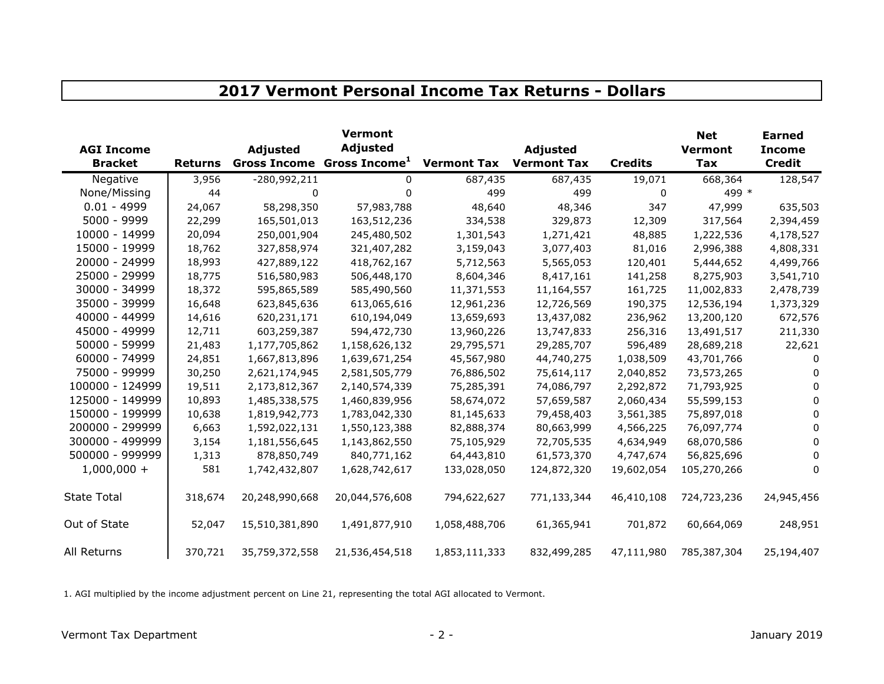| <b>AGI Income</b><br><b>Bracket</b> | <b>Returns</b> | Adjusted       | <b>Vermont</b><br><b>Adjusted</b><br>Gross Income Gross Income <sup>1</sup> | <b>Vermont Tax</b> | Adjusted<br><b>Vermont Tax</b> | <b>Credits</b> | <b>Net</b><br><b>Vermont</b><br><b>Tax</b> | <b>Earned</b><br><b>Income</b><br><b>Credit</b> |
|-------------------------------------|----------------|----------------|-----------------------------------------------------------------------------|--------------------|--------------------------------|----------------|--------------------------------------------|-------------------------------------------------|
|                                     |                |                |                                                                             |                    |                                |                |                                            |                                                 |
| Negative                            | 3,956          | -280,992,211   | 0                                                                           | 687,435            | 687,435                        | 19,071         | 668,364                                    | 128,547                                         |
| None/Missing                        | 44             | 0              | 0                                                                           | 499                | 499                            | $\mathbf 0$    | 499 *                                      |                                                 |
| $0.01 - 4999$                       | 24,067         | 58,298,350     | 57,983,788                                                                  | 48,640             | 48,346                         | 347            | 47,999                                     | 635,503                                         |
| 5000 - 9999                         | 22,299         | 165,501,013    | 163,512,236                                                                 | 334,538            | 329,873                        | 12,309         | 317,564                                    | 2,394,459                                       |
| 10000 - 14999                       | 20,094         | 250,001,904    | 245,480,502                                                                 | 1,301,543          | 1,271,421                      | 48,885         | 1,222,536                                  | 4,178,527                                       |
| 15000 - 19999                       | 18,762         | 327,858,974    | 321,407,282                                                                 | 3,159,043          | 3,077,403                      | 81,016         | 2,996,388                                  | 4,808,331                                       |
| 20000 - 24999                       | 18,993         | 427,889,122    | 418,762,167                                                                 | 5,712,563          | 5,565,053                      | 120,401        | 5,444,652                                  | 4,499,766                                       |
| 25000 - 29999                       | 18,775         | 516,580,983    | 506,448,170                                                                 | 8,604,346          | 8,417,161                      | 141,258        | 8,275,903                                  | 3,541,710                                       |
| 30000 - 34999                       | 18,372         | 595,865,589    | 585,490,560                                                                 | 11,371,553         | 11,164,557                     | 161,725        | 11,002,833                                 | 2,478,739                                       |
| 35000 - 39999                       | 16,648         | 623,845,636    | 613,065,616                                                                 | 12,961,236         | 12,726,569                     | 190,375        | 12,536,194                                 | 1,373,329                                       |
| 40000 - 44999                       | 14,616         | 620,231,171    | 610,194,049                                                                 | 13,659,693         | 13,437,082                     | 236,962        | 13,200,120                                 | 672,576                                         |
| 45000 - 49999                       | 12,711         | 603,259,387    | 594,472,730                                                                 | 13,960,226         | 13,747,833                     | 256,316        | 13,491,517                                 | 211,330                                         |
| 50000 - 59999                       | 21,483         | 1,177,705,862  | 1,158,626,132                                                               | 29,795,571         | 29,285,707                     | 596,489        | 28,689,218                                 | 22,621                                          |
| 60000 - 74999                       | 24,851         | 1,667,813,896  | 1,639,671,254                                                               | 45,567,980         | 44,740,275                     | 1,038,509      | 43,701,766                                 | 0                                               |
| 75000 - 99999                       | 30,250         | 2,621,174,945  | 2,581,505,779                                                               | 76,886,502         | 75,614,117                     | 2,040,852      | 73,573,265                                 | $\Omega$                                        |
| 100000 - 124999                     | 19,511         | 2,173,812,367  | 2,140,574,339                                                               | 75,285,391         | 74,086,797                     | 2,292,872      | 71,793,925                                 | $\Omega$                                        |
| 125000 - 149999                     | 10,893         | 1,485,338,575  | 1,460,839,956                                                               | 58,674,072         | 57,659,587                     | 2,060,434      | 55,599,153                                 | $\Omega$                                        |
| 150000 - 199999                     | 10,638         | 1,819,942,773  | 1,783,042,330                                                               | 81,145,633         | 79,458,403                     | 3,561,385      | 75,897,018                                 | 0                                               |
| 200000 - 299999                     | 6,663          | 1,592,022,131  | 1,550,123,388                                                               | 82,888,374         | 80,663,999                     | 4,566,225      | 76,097,774                                 | 0                                               |
| 300000 - 499999                     | 3,154          | 1,181,556,645  | 1,143,862,550                                                               | 75,105,929         | 72,705,535                     | 4,634,949      | 68,070,586                                 | 0                                               |
| 500000 - 999999                     | 1,313          | 878,850,749    | 840,771,162                                                                 | 64,443,810         | 61,573,370                     | 4,747,674      | 56,825,696                                 | $\Omega$                                        |
| $1,000,000 +$                       | 581            | 1,742,432,807  | 1,628,742,617                                                               | 133,028,050        | 124,872,320                    | 19,602,054     | 105,270,266                                | 0                                               |
| <b>State Total</b>                  | 318,674        | 20,248,990,668 | 20,044,576,608                                                              | 794,622,627        | 771,133,344                    | 46,410,108     | 724,723,236                                | 24,945,456                                      |
| Out of State                        | 52,047         | 15,510,381,890 | 1,491,877,910                                                               | 1,058,488,706      | 61,365,941                     | 701,872        | 60,664,069                                 | 248,951                                         |
| All Returns                         | 370,721        | 35,759,372,558 | 21,536,454,518                                                              | 1,853,111,333      | 832,499,285                    | 47,111,980     | 785,387,304                                | 25,194,407                                      |

**2017 Vermont Personal Income Tax Returns - Dollars**

1. AGI multiplied by the income adjustment percent on Line 21, representing the total AGI allocated to Vermont.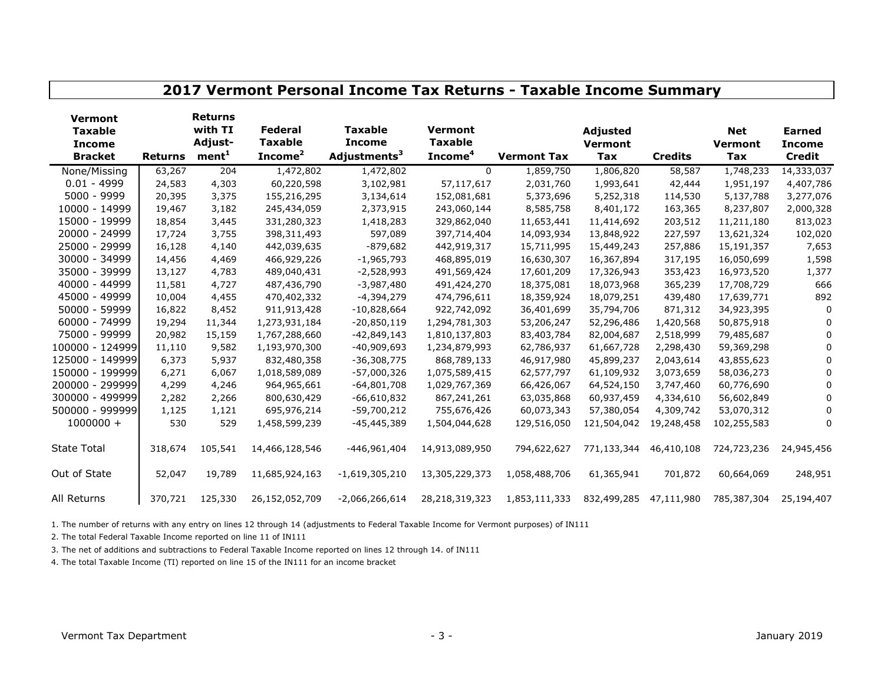| 2017 Vermont Personal Income Tax Returns - Taxable Income Summary   |                |                                                           |                                                         |                                                             |                                                  |                    |                                                 |                |                                            |                                                 |  |
|---------------------------------------------------------------------|----------------|-----------------------------------------------------------|---------------------------------------------------------|-------------------------------------------------------------|--------------------------------------------------|--------------------|-------------------------------------------------|----------------|--------------------------------------------|-------------------------------------------------|--|
| <b>Vermont</b><br><b>Taxable</b><br><b>Income</b><br><b>Bracket</b> | <b>Returns</b> | <b>Returns</b><br>with TI<br>Adjust-<br>ment <sup>1</sup> | <b>Federal</b><br><b>Taxable</b><br>Income <sup>2</sup> | <b>Taxable</b><br><b>Income</b><br>Adjustments <sup>3</sup> | Vermont<br><b>Taxable</b><br>Income <sup>4</sup> | <b>Vermont Tax</b> | <b>Adjusted</b><br><b>Vermont</b><br><b>Tax</b> | <b>Credits</b> | <b>Net</b><br><b>Vermont</b><br><b>Tax</b> | <b>Earned</b><br><b>Income</b><br><b>Credit</b> |  |
| None/Missing                                                        | 63,267         | 204                                                       | 1,472,802                                               | 1,472,802                                                   | $\Omega$                                         | 1,859,750          | 1,806,820                                       | 58,587         | 1,748,233                                  | 14,333,037                                      |  |
| $0.01 - 4999$                                                       | 24,583         | 4,303                                                     | 60,220,598                                              | 3,102,981                                                   | 57,117,617                                       | 2,031,760          | 1,993,641                                       | 42,444         | 1,951,197                                  | 4,407,786                                       |  |
| 5000 - 9999                                                         | 20,395         | 3,375                                                     | 155,216,295                                             | 3,134,614                                                   | 152,081,681                                      | 5,373,696          | 5,252,318                                       | 114,530        | 5,137,788                                  | 3,277,076                                       |  |
| 10000 - 14999                                                       | 19,467         | 3,182                                                     | 245,434,059                                             | 2,373,915                                                   | 243,060,144                                      | 8,585,758          | 8,401,172                                       | 163,365        | 8,237,807                                  | 2,000,328                                       |  |
| 15000 - 19999                                                       | 18,854         | 3,445                                                     | 331,280,323                                             | 1,418,283                                                   | 329,862,040                                      | 11,653,441         | 11,414,692                                      | 203,512        | 11,211,180                                 | 813,023                                         |  |
| 20000 - 24999                                                       | 17,724         | 3,755                                                     | 398,311,493                                             | 597,089                                                     | 397,714,404                                      | 14,093,934         | 13,848,922                                      | 227,597        | 13,621,324                                 | 102,020                                         |  |
| 25000 - 29999                                                       | 16,128         | 4,140                                                     | 442,039,635                                             | $-879,682$                                                  | 442,919,317                                      | 15,711,995         | 15,449,243                                      | 257,886        | 15,191,357                                 | 7,653                                           |  |
| 30000 - 34999                                                       | 14,456         | 4,469                                                     | 466,929,226                                             | $-1,965,793$                                                | 468,895,019                                      | 16,630,307         | 16,367,894                                      | 317,195        | 16,050,699                                 | 1,598                                           |  |
| 35000 - 39999                                                       | 13,127         | 4,783                                                     | 489,040,431                                             | $-2,528,993$                                                | 491,569,424                                      | 17,601,209         | 17,326,943                                      | 353,423        | 16,973,520                                 | 1,377                                           |  |
| 40000 - 44999                                                       | 11,581         | 4,727                                                     | 487,436,790                                             | $-3,987,480$                                                | 491,424,270                                      | 18,375,081         | 18,073,968                                      | 365,239        | 17,708,729                                 | 666                                             |  |
| 45000 - 49999                                                       | 10,004         | 4,455                                                     | 470,402,332                                             | $-4,394,279$                                                | 474,796,611                                      | 18,359,924         | 18,079,251                                      | 439,480        | 17,639,771                                 | 892                                             |  |
| 50000 - 59999                                                       | 16,822         | 8,452                                                     | 911,913,428                                             | $-10,828,664$                                               | 922,742,092                                      | 36,401,699         | 35,794,706                                      | 871,312        | 34,923,395                                 | 0                                               |  |
| 60000 - 74999                                                       | 19,294         | 11,344                                                    | 1,273,931,184                                           | $-20,850,119$                                               | 1,294,781,303                                    | 53,206,247         | 52,296,486                                      | 1,420,568      | 50,875,918                                 | 0                                               |  |
| 75000 - 99999                                                       | 20,982         | 15,159                                                    | 1,767,288,660                                           | $-42,849,143$                                               | 1,810,137,803                                    | 83,403,784         | 82,004,687                                      | 2,518,999      | 79,485,687                                 | 0                                               |  |
| 100000 - 124999                                                     | 11,110         | 9,582                                                     | 1,193,970,300                                           | $-40,909,693$                                               | 1,234,879,993                                    | 62,786,937         | 61,667,728                                      | 2,298,430      | 59,369,298                                 | 0                                               |  |
| 125000 - 149999                                                     | 6,373          | 5,937                                                     | 832,480,358                                             | $-36,308,775$                                               | 868,789,133                                      | 46,917,980         | 45,899,237                                      | 2,043,614      | 43,855,623                                 | 0                                               |  |
| 150000 - 199999                                                     | 6,271          | 6,067                                                     | 1,018,589,089                                           | $-57,000,326$                                               | 1,075,589,415                                    | 62,577,797         | 61,109,932                                      | 3,073,659      | 58,036,273                                 | 0                                               |  |
| 200000 - 299999                                                     | 4,299          | 4,246                                                     | 964,965,661                                             | $-64,801,708$                                               | 1,029,767,369                                    | 66,426,067         | 64,524,150                                      | 3,747,460      | 60,776,690                                 | 0                                               |  |
| 300000 - 499999                                                     | 2,282          | 2,266                                                     | 800,630,429                                             | $-66,610,832$                                               | 867,241,261                                      | 63,035,868         | 60,937,459                                      | 4,334,610      | 56,602,849                                 | 0                                               |  |
| 500000 - 999999                                                     | 1,125          | 1,121                                                     | 695,976,214                                             | $-59,700,212$                                               | 755,676,426                                      | 60,073,343         | 57,380,054                                      | 4,309,742      | 53,070,312                                 | 0                                               |  |
| $1000000 +$                                                         | 530            | 529                                                       | 1,458,599,239                                           | $-45,445,389$                                               | 1,504,044,628                                    | 129,516,050        | 121,504,042                                     | 19,248,458     | 102,255,583                                | 0                                               |  |
| <b>State Total</b>                                                  | 318,674        | 105,541                                                   | 14,466,128,546                                          | -446,961,404                                                | 14,913,089,950                                   | 794,622,627        | 771,133,344                                     | 46,410,108     | 724,723,236                                | 24,945,456                                      |  |
| Out of State                                                        | 52,047         | 19,789                                                    | 11,685,924,163                                          | $-1,619,305,210$                                            | 13,305,229,373                                   | 1,058,488,706      | 61,365,941                                      | 701,872        | 60,664,069                                 | 248,951                                         |  |
| All Returns                                                         | 370,721        | 125,330                                                   | 26,152,052,709                                          | $-2,066,266,614$                                            | 28,218,319,323                                   | 1,853,111,333      | 832,499,285                                     | 47,111,980     | 785,387,304                                | 25,194,407                                      |  |

1. The number of returns with any entry on lines 12 through 14 (adjustments to Federal Taxable Income for Vermont purposes) of IN111

2. The total Federal Taxable Income reported on line 11 of IN111

3. The net of additions and subtractions to Federal Taxable Income reported on lines 12 through 14. of IN111

4. The total Taxable Income (TI) reported on line 15 of the IN111 for an income bracket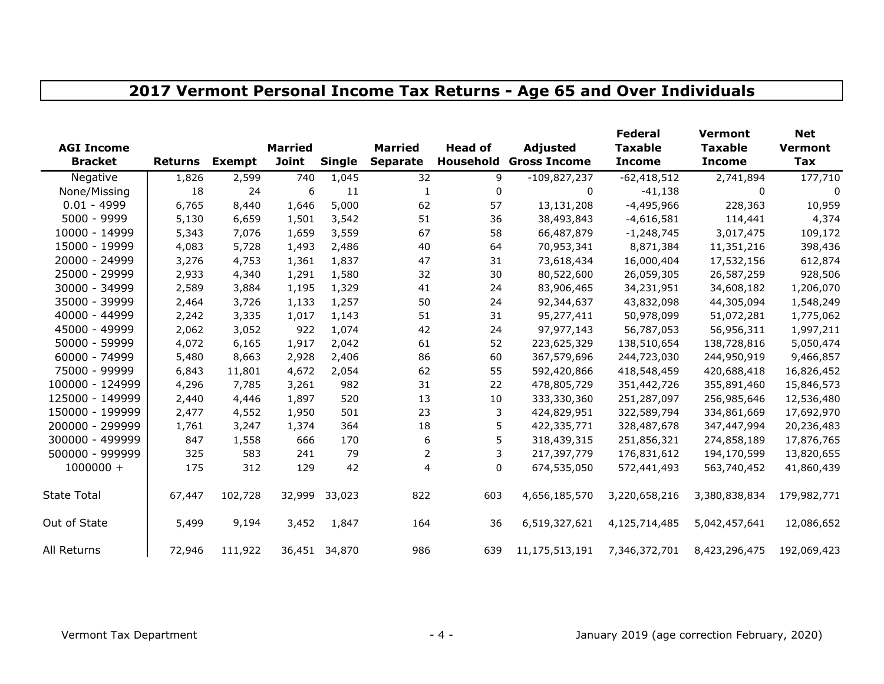## **2017 Vermont Personal Income Tax Returns - Age 65 and Over Individuals**

| <b>AGI Income</b>  |                |               | <b>Married</b> |               | <b>Married</b>  | <b>Head of</b> | Adjusted                      | <b>Federal</b><br><b>Taxable</b> | <b>Vermont</b><br><b>Taxable</b> | <b>Net</b>                   |
|--------------------|----------------|---------------|----------------|---------------|-----------------|----------------|-------------------------------|----------------------------------|----------------------------------|------------------------------|
| <b>Bracket</b>     | <b>Returns</b> | <b>Exempt</b> | <b>Joint</b>   | <b>Single</b> | <b>Separate</b> |                | <b>Household Gross Income</b> | <b>Income</b>                    | <b>Income</b>                    | <b>Vermont</b><br><b>Tax</b> |
| Negative           | 1,826          | 2,599         | 740            | 1,045         | 32              | 9              | $-109,827,237$                | $-62,418,512$                    | 2,741,894                        | 177,710                      |
| None/Missing       | 18             | 24            | 6              | 11            | 1               | 0              | 0                             | $-41,138$                        | 0                                | 0                            |
| $0.01 - 4999$      | 6,765          | 8,440         | 1,646          | 5,000         | 62              | 57             | 13,131,208                    | $-4,495,966$                     | 228,363                          | 10,959                       |
| 5000 - 9999        | 5,130          | 6,659         | 1,501          | 3,542         | 51              | 36             | 38,493,843                    | $-4,616,581$                     | 114,441                          | 4,374                        |
| 10000 - 14999      | 5,343          | 7,076         | 1,659          | 3,559         | 67              | 58             | 66,487,879                    | $-1,248,745$                     | 3,017,475                        | 109,172                      |
| 15000 - 19999      | 4,083          | 5,728         | 1,493          | 2,486         | 40              | 64             | 70,953,341                    | 8,871,384                        | 11,351,216                       | 398,436                      |
| 20000 - 24999      | 3,276          | 4,753         | 1,361          | 1,837         | 47              | 31             | 73,618,434                    | 16,000,404                       | 17,532,156                       | 612,874                      |
| 25000 - 29999      | 2,933          | 4,340         | 1,291          | 1,580         | 32              | 30             | 80,522,600                    | 26,059,305                       | 26,587,259                       | 928,506                      |
| 30000 - 34999      | 2,589          | 3,884         | 1,195          | 1,329         | 41              | 24             | 83,906,465                    | 34,231,951                       | 34,608,182                       | 1,206,070                    |
| 35000 - 39999      | 2,464          | 3,726         | 1,133          | 1,257         | 50              | 24             | 92,344,637                    | 43,832,098                       | 44,305,094                       | 1,548,249                    |
| 40000 - 44999      | 2,242          | 3,335         | 1,017          | 1,143         | 51              | 31             | 95,277,411                    | 50,978,099                       | 51,072,281                       | 1,775,062                    |
| 45000 - 49999      | 2,062          | 3,052         | 922            | 1,074         | 42              | 24             | 97,977,143                    | 56,787,053                       | 56,956,311                       | 1,997,211                    |
| 50000 - 59999      | 4,072          | 6,165         | 1,917          | 2,042         | 61              | 52             | 223,625,329                   | 138,510,654                      | 138,728,816                      | 5,050,474                    |
| 60000 - 74999      | 5,480          | 8,663         | 2,928          | 2,406         | 86              | 60             | 367,579,696                   | 244,723,030                      | 244,950,919                      | 9,466,857                    |
| 75000 - 99999      | 6,843          | 11,801        | 4,672          | 2,054         | 62              | 55             | 592,420,866                   | 418,548,459                      | 420,688,418                      | 16,826,452                   |
| 100000 - 124999    | 4,296          | 7,785         | 3,261          | 982           | 31              | 22             | 478,805,729                   | 351,442,726                      | 355,891,460                      | 15,846,573                   |
| 125000 - 149999    | 2,440          | 4,446         | 1,897          | 520           | 13              | 10             | 333,330,360                   | 251,287,097                      | 256,985,646                      | 12,536,480                   |
| 150000 - 199999    | 2,477          | 4,552         | 1,950          | 501           | 23              | 3              | 424,829,951                   | 322,589,794                      | 334,861,669                      | 17,692,970                   |
| 200000 - 299999    | 1,761          | 3,247         | 1,374          | 364           | 18              | 5              | 422,335,771                   | 328,487,678                      | 347,447,994                      | 20,236,483                   |
| 300000 - 499999    | 847            | 1,558         | 666            | 170           | 6               | 5              | 318,439,315                   | 251,856,321                      | 274,858,189                      | 17,876,765                   |
| 500000 - 999999    | 325            | 583           | 241            | 79            | 2               | 3              | 217,397,779                   | 176,831,612                      | 194,170,599                      | 13,820,655                   |
| $1000000 +$        | 175            | 312           | 129            | 42            | 4               | 0              | 674,535,050                   | 572,441,493                      | 563,740,452                      | 41,860,439                   |
| <b>State Total</b> | 67,447         | 102,728       | 32,999         | 33,023        | 822             | 603            | 4,656,185,570                 | 3,220,658,216                    | 3,380,838,834                    | 179,982,771                  |
| Out of State       | 5,499          | 9,194         | 3,452          | 1,847         | 164             | 36             | 6,519,327,621                 | 4,125,714,485                    | 5,042,457,641                    | 12,086,652                   |
| All Returns        | 72,946         | 111,922       |                | 36,451 34,870 | 986             | 639            | 11,175,513,191                | 7,346,372,701                    | 8,423,296,475                    | 192,069,423                  |